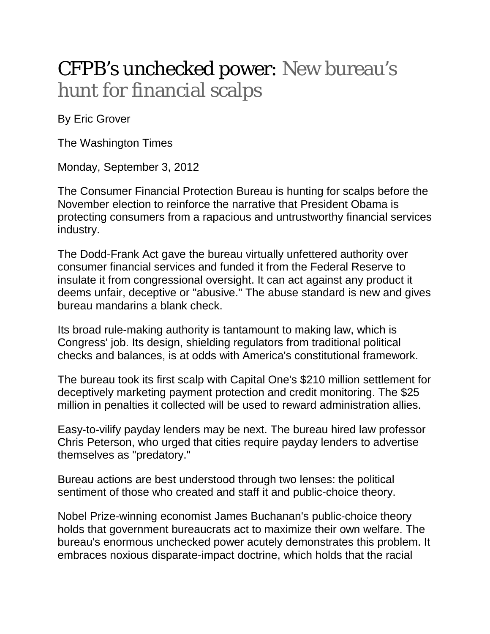## CFPB's unchecked power: New bureau's hunt for financial scalps

By Eric Grover

The Washington Times

Monday, September 3, 2012

The Consumer Financial Protection Bureau is hunting for scalps before the November election to reinforce the narrative that President Obama is protecting consumers from a rapacious and untrustworthy financial services industry.

The Dodd-Frank Act gave the bureau virtually unfettered authority over consumer financial services and funded it from the Federal Reserve to insulate it from congressional oversight. It can act against any product it deems unfair, deceptive or "abusive." The abuse standard is new and gives bureau mandarins a blank check.

Its broad rule-making authority is tantamount to making law, which is Congress' job. Its design, shielding regulators from traditional political checks and balances, is at odds with America's constitutional framework.

The bureau took its first scalp with Capital One's \$210 million settlement for deceptively marketing payment protection and credit monitoring. The \$25 million in penalties it collected will be used to reward administration allies.

Easy-to-vilify payday lenders may be next. The bureau hired law professor Chris Peterson, who urged that cities require payday lenders to advertise themselves as "predatory."

Bureau actions are best understood through two lenses: the political sentiment of those who created and staff it and public-choice theory.

Nobel Prize-winning economist James Buchanan's public-choice theory holds that government bureaucrats act to maximize their own welfare. The bureau's enormous unchecked power acutely demonstrates this problem. It embraces noxious disparate-impact doctrine, which holds that the racial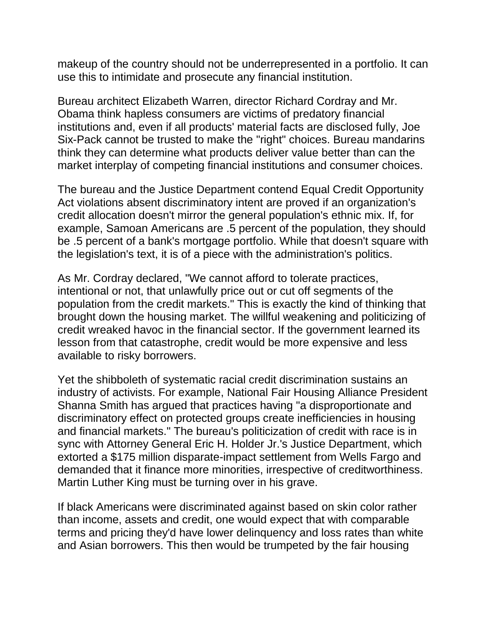makeup of the country should not be underrepresented in a portfolio. It can use this to intimidate and prosecute any financial institution.

Bureau architect Elizabeth Warren, director Richard Cordray and Mr. Obama think hapless consumers are victims of predatory financial institutions and, even if all products' material facts are disclosed fully, Joe Six-Pack cannot be trusted to make the "right" choices. Bureau mandarins think they can determine what products deliver value better than can the market interplay of competing financial institutions and consumer choices.

The bureau and the Justice Department contend Equal Credit Opportunity Act violations absent discriminatory intent are proved if an organization's credit allocation doesn't mirror the general population's ethnic mix. If, for example, Samoan Americans are .5 percent of the population, they should be .5 percent of a bank's mortgage portfolio. While that doesn't square with the legislation's text, it is of a piece with the administration's politics.

As Mr. Cordray declared, "We cannot afford to tolerate practices, intentional or not, that unlawfully price out or cut off segments of the population from the credit markets." This is exactly the kind of thinking that brought down the housing market. The willful weakening and politicizing of credit wreaked havoc in the financial sector. If the government learned its lesson from that catastrophe, credit would be more expensive and less available to risky borrowers.

Yet the shibboleth of systematic racial credit discrimination sustains an industry of activists. For example, National Fair Housing Alliance President Shanna Smith has argued that practices having "a disproportionate and discriminatory effect on protected groups create inefficiencies in housing and financial markets." The bureau's politicization of credit with race is in sync with Attorney General Eric H. Holder Jr.'s Justice Department, which extorted a \$175 million disparate-impact settlement from Wells Fargo and demanded that it finance more minorities, irrespective of creditworthiness. Martin Luther King must be turning over in his grave.

If black Americans were discriminated against based on skin color rather than income, assets and credit, one would expect that with comparable terms and pricing they'd have lower delinquency and loss rates than white and Asian borrowers. This then would be trumpeted by the fair housing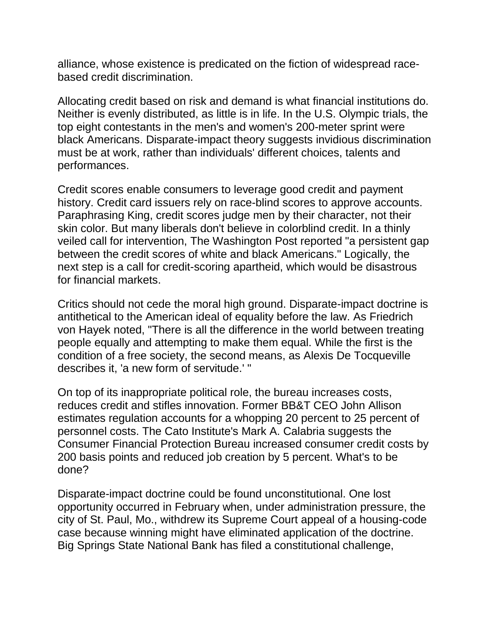alliance, whose existence is predicated on the fiction of widespread racebased credit discrimination.

Allocating credit based on risk and demand is what financial institutions do. Neither is evenly distributed, as little is in life. In the U.S. Olympic trials, the top eight contestants in the men's and women's 200-meter sprint were black Americans. Disparate-impact theory suggests invidious discrimination must be at work, rather than individuals' different choices, talents and performances.

Credit scores enable consumers to leverage good credit and payment history. Credit card issuers rely on race-blind scores to approve accounts. Paraphrasing King, credit scores judge men by their character, not their skin color. But many liberals don't believe in colorblind credit. In a thinly veiled call for intervention, The Washington Post reported "a persistent gap between the credit scores of white and black Americans." Logically, the next step is a call for credit-scoring apartheid, which would be disastrous for financial markets.

Critics should not cede the moral high ground. Disparate-impact doctrine is antithetical to the American ideal of equality before the law. As Friedrich von Hayek noted, "There is all the difference in the world between treating people equally and attempting to make them equal. While the first is the condition of a free society, the second means, as Alexis De Tocqueville describes it, 'a new form of servitude.' "

On top of its inappropriate political role, the bureau increases costs, reduces credit and stifles innovation. Former BB&T CEO John Allison estimates regulation accounts for a whopping 20 percent to 25 percent of personnel costs. The Cato Institute's Mark A. Calabria suggests the Consumer Financial Protection Bureau increased consumer credit costs by 200 basis points and reduced job creation by 5 percent. What's to be done?

Disparate-impact doctrine could be found unconstitutional. One lost opportunity occurred in February when, under administration pressure, the city of St. Paul, Mo., withdrew its Supreme Court appeal of a housing-code case because winning might have eliminated application of the doctrine. Big Springs State National Bank has filed a constitutional challenge,